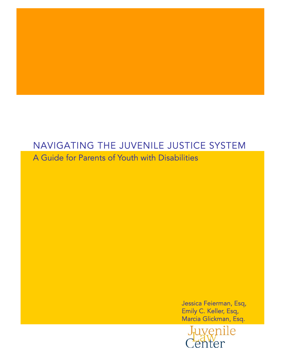# NAVIGATING THE JUVENILE JUSTICE SYSTEM A Guide for Parents of Youth with Disabilities

 $\overline{a}$ 

Jessica Feierman, Esq, Emily C. Keller, Esq, Marcia Glickman, Esq.

Juvenile Center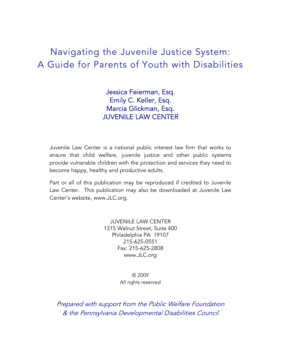# Navigating the Juvenile Justice System: A Guide for Parents of Youth with Disabilities

Jessica Feierman, Esq. Emily C. Keller, Esq. Marcia Glickman, Esq. JUVENILE LAW CENTER

Juvenile Law Center is a national public interest law firm that works to ensure that child welfare, juvenile justice and other public systems provide vulnerable children with the protection and services they need to become happy, healthy and productive adults.

Part or all of this publication may be reproduced if credited to Juvenile Law Center. This publication may also be downloaded at Juvenile Law Center's website, www.JLC.org.

> JUVENILE LAW CENTER 1315 Walnut Street, Suite 400 Philadelphia PA 19107 215-625-0551 Fax: 215-625-2808 www.JLC.org

> > © 2009 All rights reserved

Prepared with support from the Public Welfare Foundation & the Pennsylvania Developmental Disabilities Council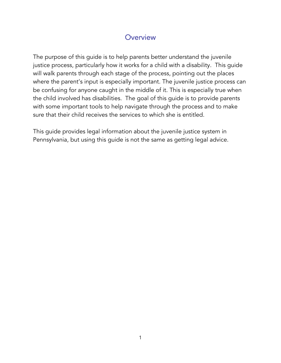## **Overview**

The purpose of this guide is to help parents better understand the juvenile justice process, particularly how it works for a child with a disability. This guide will walk parents through each stage of the process, pointing out the places where the parent's input is especially important. The juvenile justice process can be confusing for anyone caught in the middle of it. This is especially true when the child involved has disabilities. The goal of this guide is to provide parents with some important tools to help navigate through the process and to make sure that their child receives the services to which she is entitled.

This guide provides legal information about the juvenile justice system in Pennsylvania, but using this guide is not the same as getting legal advice.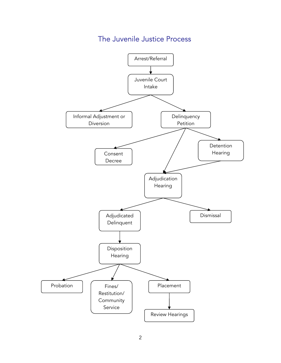## The Juvenile Justice Process

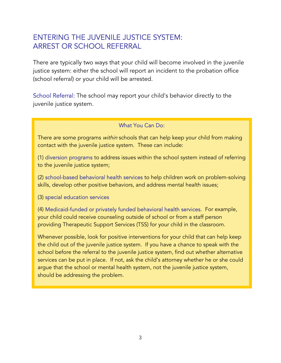## ENTERING THE JUVENILE JUSTICE SYSTEM: ARREST OR SCHOOL REFERRAL

There are typically two ways that your child will become involved in the juvenile justice system: either the school will report an incident to the probation office (school referral) or your child will be arrested.

School Referral: The school may report your child's behavior directly to the juvenile justice system.

### What You Can Do:

There are some programs *within* schools that can help keep your child from making contact with the juvenile justice system. These can include:

(1) diversion programs to address issues within the school system instead of referring to the juvenile justice system;

(2) school-based behavioral health services to help children work on problem-solving skills, develop other positive behaviors, and address mental health issues;

(3) special education services

(4) Medicaid-funded or privately funded behavioral health services. For example, your child could receive counseling outside of school or from a staff person providing Therapeutic Support Services (TSS) for your child in the classroom.

Whenever possible, look for positive interventions for your child that can help keep the child out of the juvenile justice system. If you have a chance to speak with the school before the referral to the juvenile justice system, find out whether alternative services can be put in place. If not, ask the child's attorney whether he or she could argue that the school or mental health system, not the juvenile justice system, should be addressing the problem.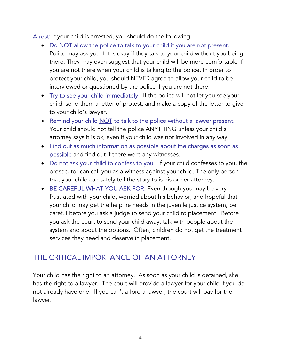Arrest: If your child is arrested, you should do the following:

- Do NOT allow the police to talk to your child if you are not present. Police may ask you if it is okay if they talk to your child without you being there. They may even suggest that your child will be more comfortable if you are not there when your child is talking to the police. In order to protect your child, you should NEVER agree to allow your child to be interviewed or questioned by the police if you are not there.
- Try to see your child immediately. If the police will not let you see your child, send them a letter of protest, and make a copy of the letter to give to your child's lawyer.
- Remind your child NOT to talk to the police without a lawyer present. Your child should not tell the police ANYTHING unless your child's attorney says it is ok, even if your child was not involved in any way.
- Find out as much information as possible about the charges as soon as possible and find out if there were any witnesses.
- Do not ask your child to confess to you. If your child confesses to you, the prosecutor can call you as a witness against your child. The only person that your child can safely tell the story to is his or her attorney.
- BE CAREFUL WHAT YOU ASK FOR: Even though you may be very frustrated with your child, worried about his behavior, and hopeful that your child may get the help he needs in the juvenile justice system, be careful before you ask a judge to send your child to placement. Before you ask the court to send your child away, talk with people about the system and about the options. Often, children do not get the treatment services they need and deserve in placement.

## THE CRITICAL IMPORTANCE OF AN ATTORNEY

Your child has the right to an attorney. As soon as your child is detained, she has the right to a lawyer. The court will provide a lawyer for your child if you do not already have one. If you can't afford a lawyer, the court will pay for the lawyer.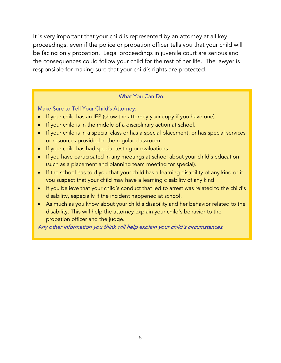It is very important that your child is represented by an attorney at all key proceedings, even if the police or probation officer tells you that your child will be facing only probation. Legal proceedings in juvenile court are serious and the consequences could follow your child for the rest of her life. The lawyer is responsible for making sure that your child's rights are protected.

#### What You Can Do:

#### Make Sure to Tell Your Child's Attorney:

- If your child has an IEP (show the attorney your copy if you have one).
- If your child is in the middle of a disciplinary action at school.
- If your child is in a special class or has a special placement, or has special services or resources provided in the regular classroom.
- If your child has had special testing or evaluations.
- If you have participated in any meetings at school about your child's education (such as a placement and planning team meeting for special).
- If the school has told you that your child has a learning disability of any kind or if you suspect that your child may have a learning disability of any kind.
- If you believe that your child's conduct that led to arrest was related to the child's disability, especially if the incident happened at school.
- As much as you know about your child's disability and her behavior related to the disability. This will help the attorney explain your child's behavior to the probation officer and the judge.

Any other information you think will help explain your child's circumstances.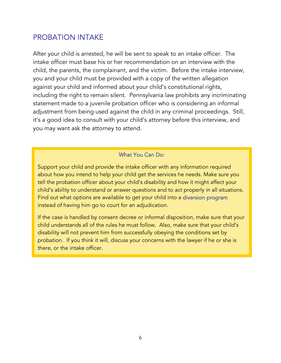## PROBATION INTAKE

After your child is arrested, he will be sent to speak to an intake officer. The intake officer must base his or her recommendation on an interview with the child, the parents, the complainant, and the victim. Before the intake interview, you and your child must be provided with a copy of the written allegation against your child and informed about your child's constitutional rights, including the right to remain silent. Pennsylvania law prohibits any incriminating statement made to a juvenile probation officer who is considering an informal adjustment from being used against the child in any criminal proceedings. Still, it's a good idea to consult with your child's attorney before this interview, and you may want ask the attorney to attend.

### What You Can Do:

Support your child and provide the intake officer with any information required about how you intend to help your child get the services he needs. Make sure you tell the probation officer about your child's disability and how it might affect your child's ability to understand or answer questions and to act properly in all situations. Find out what options are available to get your child into a diversion program instead of having him go to court for an adjudication.

If the case is handled by consent decree or informal disposition, make sure that your child understands all of the rules he must follow. Also, make sure that your child's disability will not prevent him from successfully obeying the conditions set by probation. If you think it will, discuss your concerns with the lawyer if he or she is there, or the intake officer.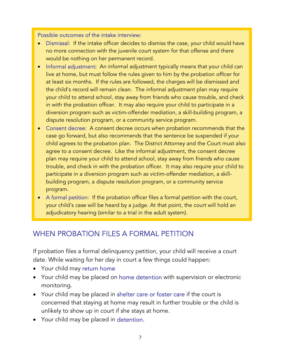#### Possible outcomes of the intake interview:

- Dismissal: If the intake officer decides to dismiss the case, your child would have no more connection with the juvenile court system for that offense and there would be nothing on her permanent record.
- Informal adjustment: An informal adjustment typically means that your child can live at home, but must follow the rules given to him by the probation officer for at least six months. If the rules are followed, the charges will be dismissed and the child's record will remain clean. The informal adjustment plan may require your child to attend school, stay away from friends who cause trouble, and check in with the probation officer. It may also require your child to participate in a diversion program such as victim-offender mediation, a skill-building program, a dispute resolution program, or a community service program.
- Consent decree: A consent decree occurs when probation recommends that the case go forward, but also recommends that the sentence be suspended if your child agrees to the probation plan. The District Attorney and the Court must also agree to a consent decree. Like the informal adjustment, the consent decree plan may require your child to attend school, stay away from friends who cause trouble, and check in with the probation officer. It may also require your child to participate in a diversion program such as victim-offender mediation, a skillbuilding program, a dispute resolution program, or a community service program.
- A formal petition: If the probation officer files a formal petition with the court, your child's case will be heard by a judge. At that point, the court will hold an adjudicatory hearing (similar to a trial in the adult system).

## WHEN PROBATION FILES A FORMAL PETITION

If probation files a formal delinquency petition, your child will receive a court date. While waiting for her day in court a few things could happen:

- Your child may return home
- Your child may be placed on home detention with supervision or electronic monitoring.
- Your child may be placed in shelter care or foster care if the court is concerned that staying at home may result in further trouble or the child is unlikely to show up in court if she stays at home.
- Your child may be placed in detention.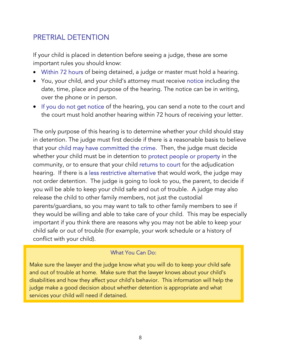## PRETRIAL DETENTION

If your child is placed in detention before seeing a judge, these are some important rules you should know:

- Within 72 hours of being detained, a judge or master must hold a hearing.
- You, your child, and your child's attorney must receive notice including the date, time, place and purpose of the hearing. The notice can be in writing, over the phone or in person.
- If you do not get notice of the hearing, you can send a note to the court and the court must hold another hearing within 72 hours of receiving your letter.

The only purpose of this hearing is to determine whether your child should stay in detention. The judge must first decide if there is a reasonable basis to believe that your child may have committed the crime. Then, the judge must decide whether your child must be in detention to protect people or property in the community, or to ensure that your child returns to court for the adjudication hearing. If there is a less restrictive alternative that would work, the judge may not order detention. The judge is going to look to you, the parent, to decide if you will be able to keep your child safe and out of trouble. A judge may also release the child to other family members, not just the custodial parents/guardians, so you may want to talk to other family members to see if they would be willing and able to take care of your child. This may be especially important if you think there are reasons why you may not be able to keep your child safe or out of trouble (for example, your work schedule or a history of conflict with your child).

### What You Can Do:

Make sure the lawyer and the judge know what you will do to keep your child safe and out of trouble at home. Make sure that the lawyer knows about your child's disabilities and how they affect your child's behavior. This information will help the judge make a good decision about whether detention is appropriate and what services your child will need if detained.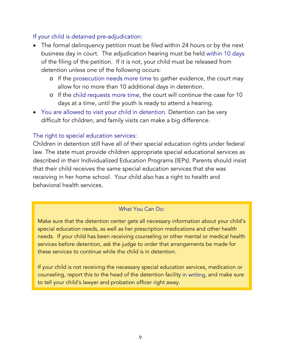### If your child is detained pre-adjudication:

- The formal delinquency petition must be filed within 24 hours or by the next business day in court. The adjudication hearing must be held within 10 days of the filing of the petition. If it is not, your child must be released from detention unless one of the following occurs:
	- o If the prosecution needs more time to gather evidence, the court may allow for no more than 10 additional days in detention.
	- o If the child requests more time, the court will continue the case for 10 days at a time, until the youth is ready to attend a hearing.
- You are allowed to visit your child in detention. Detention can be very difficult for children, and family visits can make a big difference.

### The right to special education services:

Children in detention still have all of their special education rights under federal law. The state must provide children appropriate special educational services as described in their Individualized Education Programs (IEPs). Parents should insist that their child receives the same special education services that she was receiving in her home school. Your child also has a right to health and behavioral health services.

### What You Can Do:

Make sure that the detention center gets all necessary information about your child's special education needs, as well as her prescription medications and other health needs. If your child has been receiving counseling or other mental or medical health services before detention, ask the judge to order that arrangements be made for these services to continue while the child is in detention.

If your child is not receiving the necessary special education services, medication or counseling, report this to the head of the detention facility in writing, and make sure to tell your child's lawyer and probation officer right away.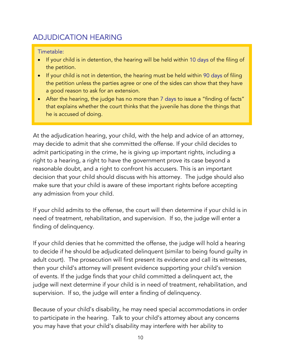# ADJUDICATION HEARING

### Timetable:

- If your child is in detention, the hearing will be held within 10 days of the filing of the petition.
- If your child is not in detention, the hearing must be held within 90 days of filing the petition unless the parties agree or one of the sides can show that they have a good reason to ask for an extension.
- After the hearing, the judge has no more than 7 days to issue a "finding of facts" that explains whether the court thinks that the juvenile has done the things that he is accused of doing.

At the adjudication hearing, your child, with the help and advice of an attorney, may decide to admit that she committed the offense. If your child decides to admit participating in the crime, he is giving up important rights, including a right to a hearing, a right to have the government prove its case beyond a reasonable doubt, and a right to confront his accusers. This is an important decision that your child should discuss with his attorney. The judge should also make sure that your child is aware of these important rights before accepting any admission from your child.

If your child admits to the offense, the court will then determine if your child is in need of treatment, rehabilitation, and supervision. If so, the judge will enter a finding of delinquency.

If your child denies that he committed the offense, the judge will hold a hearing to decide if he should be adjudicated delinquent (similar to being found guilty in adult court). The prosecution will first present its evidence and call its witnesses, then your child's attorney will present evidence supporting your child's version of events. If the judge finds that your child committed a delinquent act, the judge will next determine if your child is in need of treatment, rehabilitation, and supervision. If so, the judge will enter a finding of delinquency.

Because of your child's disability, he may need special accommodations in order to participate in the hearing. Talk to your child's attorney about any concerns you may have that your child's disability may interfere with her ability to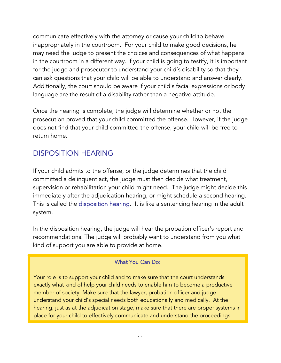communicate effectively with the attorney or cause your child to behave inappropriately in the courtroom. For your child to make good decisions, he may need the judge to present the choices and consequences of what happens in the courtroom in a different way. If your child is going to testify, it is important for the judge and prosecutor to understand your child's disability so that they can ask questions that your child will be able to understand and answer clearly. Additionally, the court should be aware if your child's facial expressions or body language are the result of a disability rather than a negative attitude.

Once the hearing is complete, the judge will determine whether or not the prosecution proved that your child committed the offense. However, if the judge does not find that your child committed the offense, your child will be free to return home.

## DISPOSITION HEARING

If your child admits to the offense, or the judge determines that the child committed a delinquent act, the judge must then decide what treatment, supervision or rehabilitation your child might need. The judge might decide this immediately after the adjudication hearing, or might schedule a second hearing. This is called the disposition hearing. It is like a sentencing hearing in the adult system.

In the disposition hearing, the judge will hear the probation officer's report and recommendations. The judge will probably want to understand from you what kind of support you are able to provide at home.

## What You Can Do:

Your role is to support your child and to make sure that the court understands exactly what kind of help your child needs to enable him to become a productive member of society. Make sure that the lawyer, probation officer and judge understand your child's special needs both educationally and medically. At the hearing, just as at the adjudication stage, make sure that there are proper systems in place for your child to effectively communicate and understand the proceedings.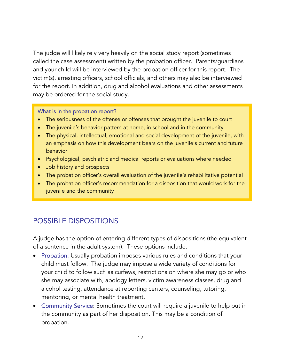The judge will likely rely very heavily on the social study report (sometimes called the case assessment) written by the probation officer. Parents/guardians and your child will be interviewed by the probation officer for this report. The victim(s), arresting officers, school officials, and others may also be interviewed for the report. In addition, drug and alcohol evaluations and other assessments may be ordered for the social study.

#### What is in the probation report?

- The seriousness of the offense or offenses that brought the juvenile to court
- The juvenile's behavior pattern at home, in school and in the community
- The physical, intellectual, emotional and social development of the juvenile, with an emphasis on how this development bears on the juvenile's current and future behavior
- Psychological, psychiatric and medical reports or evaluations where needed
- Job history and prospects
- The probation officer's overall evaluation of the juvenile's rehabilitative potential
- The probation officer's recommendation for a disposition that would work for the juvenile and the community

## POSSIBLE DISPOSITIONS

A judge has the option of entering different types of dispositions (the equivalent of a sentence in the adult system). These options include:

- Probation: Usually probation imposes various rules and conditions that your child must follow. The judge may impose a wide variety of conditions for your child to follow such as curfews, restrictions on where she may go or who she may associate with, apology letters, victim awareness classes, drug and alcohol testing, attendance at reporting centers, counseling, tutoring, mentoring, or mental health treatment.
- Community Service: Sometimes the court will require a juvenile to help out in the community as part of her disposition. This may be a condition of probation.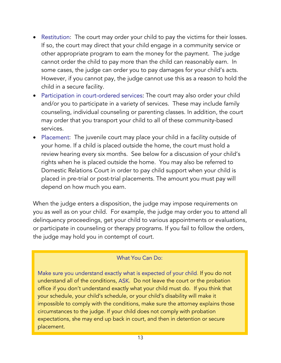- Restitution: The court may order your child to pay the victims for their losses. If so, the court may direct that your child engage in a community service or other appropriate program to earn the money for the payment. The judge cannot order the child to pay more than the child can reasonably earn. In some cases, the judge can order you to pay damages for your child's acts. However, if you cannot pay, the judge cannot use this as a reason to hold the child in a secure facility.
- Participation in court-ordered services: The court may also order your child and/or you to participate in a variety of services. These may include family counseling, individual counseling or parenting classes. In addition, the court may order that you transport your child to all of these community-based services.
- Placement: The juvenile court may place your child in a facility outside of your home. If a child is placed outside the home, the court must hold a review hearing every six months. See below for a discussion of your child's rights when he is placed outside the home. You may also be referred to Domestic Relations Court in order to pay child support when your child is placed in pre-trial or post-trial placements. The amount you must pay will depend on how much you earn.

When the judge enters a disposition, the judge may impose requirements on you as well as on your child. For example, the judge may order you to attend all delinquency proceedings, get your child to various appointments or evaluations, or participate in counseling or therapy programs. If you fail to follow the orders, the judge may hold you in contempt of court.

### What You Can Do:

Make sure you understand exactly what is expected of your child. If you do not understand all of the conditions, ASK. Do not leave the court or the probation office if you don't understand exactly what your child must do. If you think that your schedule, your child's schedule, or your child's disability will make it impossible to comply with the conditions, make sure the attorney explains those circumstances to the judge. If your child does not comply with probation expectations, she may end up back in court, and then in detention or secure placement.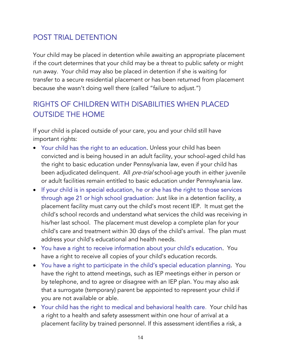## POST TRIAL DETENTION

Your child may be placed in detention while awaiting an appropriate placement if the court determines that your child may be a threat to public safety or might run away. Your child may also be placed in detention if she is waiting for transfer to a secure residential placement or has been returned from placement because she wasn't doing well there (called "failure to adjust.")

## RIGHTS OF CHILDREN WITH DISABILITIES WHEN PLACED OUTSIDE THE HOME

If your child is placed outside of your care, you and your child still have important rights:

- Your child has the right to an education. Unless your child has been convicted and is being housed in an adult facility, your school-aged child has the right to basic education under Pennsylvania law, even if your child has been adjudicated delinquent. All *pre-trial* school-age youth in either juvenile or adult facilities remain entitled to basic education under Pennsylvania law.
- If your child is in special education, he or she has the right to those services through age 21 or high school graduation: Just like in a detention facility, a placement facility must carry out the child's most recent IEP. It must get the child's school records and understand what services the child was receiving in his/her last school. The placement must develop a complete plan for your child's care and treatment within 30 days of the child's arrival. The plan must address your child's educational and health needs.
- You have a right to receive information about your child's education. You have a right to receive all copies of your child's education records.
- You have a right to participate in the child's special education planning. You have the right to attend meetings, such as IEP meetings either in person or by telephone, and to agree or disagree with an IEP plan. You may also ask that a surrogate (temporary) parent be appointed to represent your child if you are not available or able.
- Your child has the right to medical and behavioral health care. Your child has a right to a health and safety assessment within one hour of arrival at a placement facility by trained personnel. If this assessment identifies a risk, a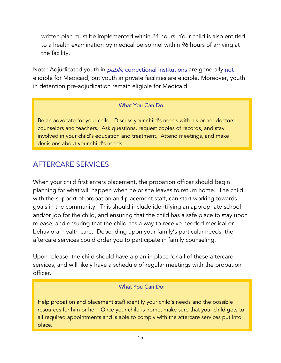written plan must be implemented within 24 hours. Your child is also entitled to a health examination by medical personnel within 96 hours of arriving at the facility.

Note: Adjudicated youth in *public* correctional institutions are generally not eligible for Medicaid, but youth in private facilities are eligible. Moreover, youth in detention pre-adjudication remain eligible for Medicaid.

### What You Can Do:

Be an advocate for your child. Discuss your child's needs with his or her doctors, counselors and teachers. Ask questions, request copies of records, and stay involved in your child's education and treatment. Attend meetings, and make decisions about your child's needs.

## AFTERCARE SERVICES

When your child first enters placement, the probation officer should begin planning for what will happen when he or she leaves to return home. The child, with the support of probation and placement staff, can start working towards goals in the community. This should include identifying an appropriate school and/or job for the child, and ensuring that the child has a safe place to stay upon release, and ensuring that the child has a way to receive needed medical or behavioral health care. Depending upon your family's particular needs, the aftercare services could order you to participate in family counseling.

Upon release, the child should have a plan in place for all of these aftercare services, and will likely have a schedule of regular meetings with the probation officer.

### What You Can Do:

Help probation and placement staff identify your child's needs and the possible resources for him or her. Once your child is home, make sure that your child gets to all required appointments and is able to comply with the aftercare services put into place.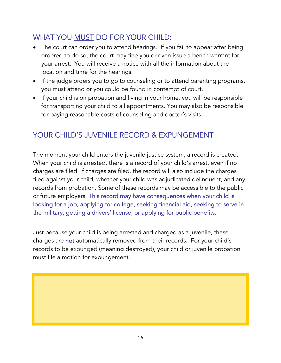## WHAT YOU MUST DO FOR YOUR CHILD:

- The court can order you to attend hearings. If you fail to appear after being ordered to do so, the court may fine you or even issue a bench warrant for your arrest. You will receive a notice with all the information about the location and time for the hearings.
- If the judge orders you to go to counseling or to attend parenting programs, you must attend or you could be found in contempt of court.
- If your child is on probation and living in your home, you will be responsible for transporting your child to all appointments. You may also be responsible for paying reasonable costs of counseling and doctor's visits.

# YOUR CHILD'S JUVENILE RECORD & EXPUNGEMENT

The moment your child enters the juvenile justice system, a record is created. When your child is arrested, there is a record of your child's arrest, even if no charges are filed. If charges are filed, the record will also include the charges filed against your child, whether your child was adjudicated delinquent, and any records from probation. Some of these records may be accessible to the public or future employers. This record may have consequences when your child is looking for a job, applying for college, seeking financial aid, seeking to serve in the military, getting a drivers' license, or applying for public benefits.

Just because your child is being arrested and charged as a juvenile, these charges are not automatically removed from their records. For your child's records to be expunged (meaning destroyed), your child or juvenile probation must file a motion for expungement.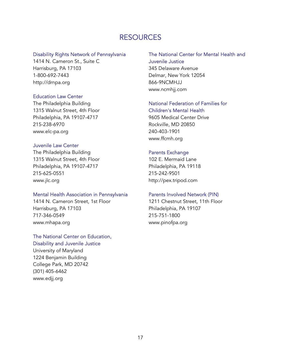## RESOURCES

#### Disability Rights Network of Pennsylvania

1414 N. Cameron St., Suite C Harrisburg, PA 17103 1-800-692-7443 http://drnpa.org

#### Education Law Center

The Philadelphia Building 1315 Walnut Street, 4th Floor Philadelphia, PA 19107-4717 215-238-6970 [www.elc-pa.org](http://www.elc-pa.org/)

#### Juvenile Law Center

The Philadelphia Building 1315 Walnut Street, 4th Floor Philadelphia, PA 19107-4717 215-625-0551 www.jlc.org

#### Mental Health Association in Pennsylvania

1414 N. Cameron Street, 1st Floor Harrisburg, PA 17103 717-346-0549 www.mhapa.org

#### The National Center on Education, Disability and Juvenile Justice

University of Maryland 1224 Benjamin Building College Park, MD 20742 (301) 405-6462 www.edjj.org

#### The National Center for Mental Health and Juvenile Justice

345 Delaware Avenue Delmar, New York 12054 866-9NCMHJJ [www.ncmhjj.com](http://www.ncmhjj.com/)

#### National Federation of Families for Children's Mental Health

9605 Medical Center Drive Rockville, MD 20850 240-403-1901 [www.ffcmh.org](http://www.ffcmh.org/)

#### Parents Exchange

102 E. Mermaid Lane Philadelphia, PA 19118 215-242-9501 http://pex.tripod.com

#### Parents Involved Network (PIN)

1211 Chestnut Street, 11th Floor Philadelphia, PA 19107 215-751-1800 www.pinofpa.org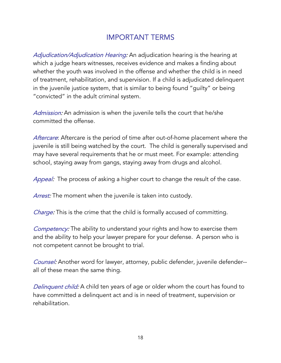## IMPORTANT TERMS

Adjudication/Adjudication Hearing: An adjudication hearing is the hearing at which a judge hears witnesses, receives evidence and makes a finding about whether the youth was involved in the offense and whether the child is in need of treatment, rehabilitation, and supervision. If a child is adjudicated delinquent in the juvenile justice system, that is similar to being found "guilty" or being "convicted" in the adult criminal system.

Admission: An admission is when the juvenile tells the court that he/she committed the offense.

Aftercare: Aftercare is the period of time after out-of-home placement where the juvenile is still being watched by the court. The child is generally supervised and may have several requirements that he or must meet. For example: attending school, staying away from gangs, staying away from drugs and alcohol.

Appeal: The process of asking a higher court to change the result of the case.

Arrest: The moment when the juvenile is taken into custody.

Charge: This is the crime that the child is formally accused of committing.

**Competency:** The ability to understand your rights and how to exercise them and the ability to help your lawyer prepare for your defense. A person who is not competent cannot be brought to trial.

Counsel: Another word for lawyer, attorney, public defender, juvenile defender-all of these mean the same thing.

Delinquent child: A child ten years of age or older whom the court has found to have committed a delinquent act and is in need of treatment, supervision or rehabilitation.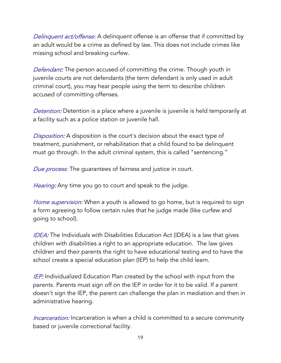Delinquent act/offense: A delinquent offense is an offense that if committed by an adult would be a crime as defined by law. This does not include crimes like missing school and breaking curfew.

Defendant: The person accused of committing the crime. Though youth in juvenile courts are not defendants (the term defendant is only used in adult criminal court), you may hear people using the term to describe children accused of committing offenses.

Detention: Detention is a place where a juvenile is juvenile is held temporarily at a facility such as a police station or juvenile hall.

**Disposition:** A disposition is the court's decision about the exact type of treatment, punishment, or rehabilitation that a child found to be delinquent must go through. In the adult criminal system, this is called "sentencing."

Due process: The guarantees of fairness and justice in court.

Hearing: Any time you go to court and speak to the judge.

Home supervision: When a youth is allowed to go home, but is required to sign a form agreeing to follow certain rules that he judge made (like curfew and going to school).

**IDEA:** The Individuals with Disabilities Education Act (IDEA) is a law that gives children with disabilities a right to an appropriate education. The law gives children and their parents the right to have educational testing and to have the school create a special education plan (IEP) to help the child learn.

**IEP:** Individualized Education Plan created by the school with input from the parents. Parents must sign off on the IEP in order for it to be valid. If a parent doesn't sign the IEP, the parent can challenge the plan in mediation and then in administrative hearing.

Incarceration: Incarceration is when a child is committed to a secure community based or juvenile correctional facility.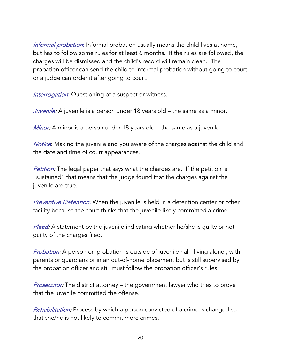Informal probation: Informal probation usually means the child lives at home, but has to follow some rules for at least 6 months. If the rules are followed, the charges will be dismissed and the child's record will remain clean. The probation officer can send the child to informal probation without going to court or a judge can order it after going to court.

Interrogation: Questioning of a suspect or witness.

Juvenile: A juvenile is a person under 18 years old – the same as a minor.

Minor: A minor is a person under 18 years old – the same as a juvenile.

Notice: Making the juvenile and you aware of the charges against the child and the date and time of court appearances.

**Petition:** The legal paper that says what the charges are. If the petition is "sustained" that means that the judge found that the charges against the juvenile are true.

**Preventive Detention:** When the juvenile is held in a detention center or other facility because the court thinks that the juvenile likely committed a crime.

Plead: A statement by the juvenile indicating whether he/she is quilty or not guilty of the charges filed.

*Probation:* A person on probation is outside of juvenile hall--living alone, with parents or guardians or in an out-of-home placement but is still supervised by the probation officer and still must follow the probation officer's rules.

Prosecutor: The district attorney – the government lawyer who tries to prove that the juvenile committed the offense.

Rehabilitation: Process by which a person convicted of a crime is changed so that she/he is not likely to commit more crimes.